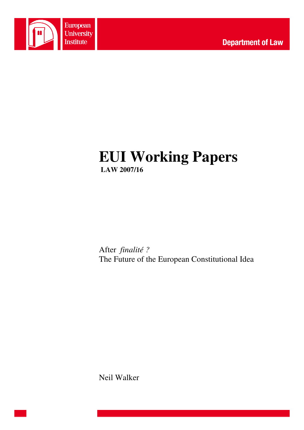

# **EUI Working Papers LAW 2007/16**

After *finalité ?*  The Future of the European Constitutional Idea

Neil Walker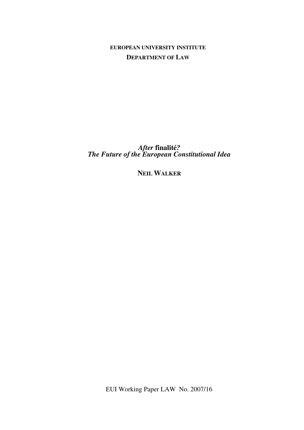**EUROPEAN UNIVERSITY INSTITUTE DEPARTMENT OF LAW**

*After* **finalité***? The Future of the European Constitutional Idea* 

**NEIL WALKER**

EUI Working Paper LAW No. 2007/16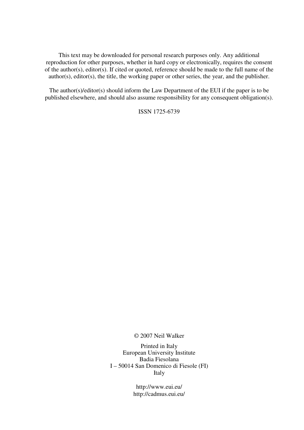This text may be downloaded for personal research purposes only. Any additional reproduction for other purposes, whether in hard copy or electronically, requires the consent of the author(s), editor(s). If cited or quoted, reference should be made to the full name of the author(s), editor(s), the title, the working paper or other series, the year, and the publisher.

The author(s)/editor(s) should inform the Law Department of the EUI if the paper is to be published elsewhere, and should also assume responsibility for any consequent obligation(s).

ISSN 1725-6739

© 2007 Neil Walker

Printed in Italy European University Institute Badia Fiesolana I – 50014 San Domenico di Fiesole (FI) Italy

> http://www.eui.eu/ http://cadmus.eui.eu/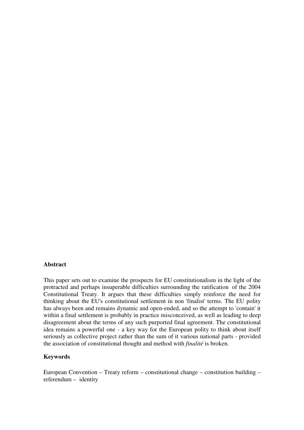#### **Abstract**

This paper sets out to examine the prospects for EU constitutionalism in the light of the protracted and perhaps insuperable difficulties surrounding the ratification of the 2004 Constitutional Treaty. It argues that these difficulties simply reinforce the need for thinking about the EU's constitutional settlement in non 'finalist' terms. The EU polity has always been and remains dynamic and open-ended, and so the attempt to 'contain' it within a final settlement is probably in practice misconceived, as well as leading to deep disagreement about the terms of any such purported final agreement. The constitutional idea remains a powerful one - a key way for the European polity to think about itself seriously as collective project rather than the sum of it various national parts - provided the association of constitutional thought and method with *finalité* is broken.

## **Keywords**

European Convention – Treaty reform – constitutional change – constitution building – referendum – identity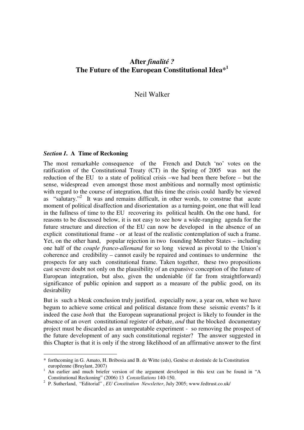# **After** *finalité ?*  **The Future of the European Constitutional Idea\*<sup>1</sup>**

Neil Walker

#### *Section I***. A Time of Reckoning**

 $\overline{a}$ 

The most remarkable consequence of the French and Dutch 'no' votes on the ratification of the Constitutional Treaty (CT) in the Spring of 2005 was not the reduction of the EU to a state of political crisis –we had been there before – but the sense, widespread even amongst those most ambitious and normally most optimistic with regard to the course of integration, that this time the crisis could hardly be viewed as "salutary."<sup>2</sup> It was and remains difficult, in other words, to construe that acute moment of political disaffection and disorientation as a turning-point, one that will lead in the fullness of time to the EU recovering its political health. On the one hand, for reasons to be discussed below, it is not easy to see how a wide-ranging agenda for the future structure and direction of the EU can now be developed in the absence of an explicit constitutional frame - or at least of the realistic contemplation of such a frame. Yet, on the other hand, popular rejection in two founding Member States – including one half of the *couple franco-allemand* for so long viewed as pivotal to the Union's coherence and credibility – cannot easily be repaired and continues to undermine the prospects for any such constitutional frame. Taken together, these two propositions cast severe doubt not only on the plausibility of an expansive conception of the future of European integration, but also, given the undeniable (if far from straightforward) significance of public opinion and support as a measure of the public good, on its desirability

But is such a bleak conclusion truly justified, especially now, a year on, when we have begum to achieve some critical and political distance from these seismic events? Is it indeed the case *both* that the European supranational project is likely to founder in the absence of an overt constitutional register of debate, *and* that the blocked documentary project must be discarded as an unrepeatable experiment - so removing the prospect of the future development of any such constitutional register? The answer suggested in this Chapter is that it is only if the strong likelihood of an affirmative answer to the first

<sup>\*</sup> forthcoming in G. Amato, H. Bribosia and B. de Witte (eds), Genèse et destinée de la Constitution européenne (Bruylant, 2007)

<sup>&</sup>lt;sup>1</sup> An earlier and much briefer version of the argument developed in this text can be found in "A Constitutional Reckoning" (2006) 13 *Constellations* 140-150.

<sup>2</sup> P. Sutherland, "Editorial" , *EU Constitution Newsletter*, July 2005; www.fedtrust.co.uk/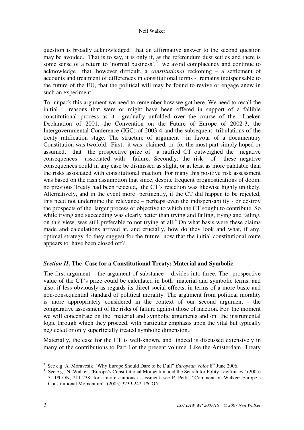question is broadly acknowledged that an affirmative answer to the second question may be avoided. That is to say, it is only if, as the referendum dust settles and there is some sense of a return to 'normal business', $3$  we avoid complacency and continue to acknowledge that, however difficult, a *constitutional* reckoning – a settlement of accounts and treatment of differences in constitutional terms - remains indispensable to the future of the EU, that the political will may be found to revive or engage anew in such an experiment.

To unpack this argument we need to remember how we got here. We need to recall the initial reasons that were or might have been offered in support of a fallible constitutional process as it gradually unfolded over the course of the Laeken Declaration of 2001, the Convention on the Future of Europe of 2002-3, the Intergovernmental Conference (IGC) of 2003-4 and the subsequent tribulations of the treaty ratification stage. The structure of argument in favour of a documentary Constitution was twofold. First, it was claimed, or for the most part simply hoped or assumed, that the prospective prize of a ratified CT outweighed the negative consequences associated with failure. Secondly, the risk of these negative consequences could in any case be dismissed as slight, or at least as more palatable than the risks associated with constitutional inaction. For many this positive risk assessment was based on the rash assumption that since, despite frequent prognostications of doom, no previous Treaty had been rejected, the CT's rejection was likewise highly unlikely. Alternatively, and in the event more pertinently, if the CT did happen to be rejected, this need not undermine the relevance – perhaps even the indispensability - or destroy the prospects of the larger process or objective to which the CT sought to contribute. So while trying and succeeding was clearly better than trying and failing, trying and failing, on this view, was still preferable to not trying at all.<sup>4</sup> On what basis were these claims made and calculations arrived at, and crucially, how do they look and what, if any, optimal strategy do they suggest for the future now that the initial constitutional route appears to have been closed off?

# *Section II***. The Case for a Constitutional Treaty: Material and Symbolic**

The first argument – the argument of substance – divides into three. The prospective value of the CT's prize could be calculated in both material and symbolic terms, and also, if less obviously as regards its direct social effects, in terms of a more basic and non-consequential standard of political morality. The argument from political morality is more appropriately considered in the context of our second argument - the comparative assessment of the risks of failure against those of inaction. For the moment we will concentrate on the material and symbolic arguments and on the instrumental logic through which they proceed, with particular emphasis upon the vital but typically neglected or only superficially treated symbolic dimension..

Materially, the case for the CT is well-known, and indeed is discussed extensively in many of the contributions to Part I of the present volume. Like the Amsterdam Treaty

<sup>&</sup>lt;sup>3</sup> See e.g. A. Moravcsik 'Why Europe Should Dare to be Dull'' *European Voice* 8<sup>th</sup> June 2006.

<sup>4</sup> See e.g., N. Walker, "Europe's Constitutional Momentum and the Search for Polity Legitimacy" (2005) 3 I\*CON, 211-238; for a more cautious assessment, see P. Pettit, "Comment on Walker: Europe's Constitutional Momentum", (2005) 3239-242. I\*CON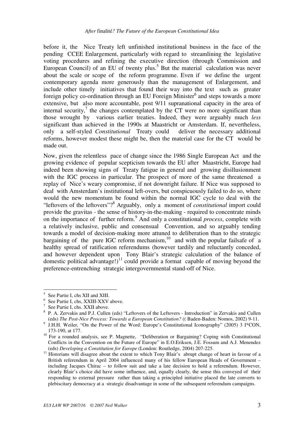before it, the Nice Treaty left unfinished institutional business in the face of the pending CCEE Enlargement, particularly with regard to streamlining the legislative voting procedures and refining the executive direction (through Commission and European Council) of an EU of twenty plus.<sup>5</sup> But the material calculation was never about the scale or scope of the reform programme. Even if we define the urgent contemporary agenda more generously than the management of Enlargement, and include other timely initiatives that found their way into the text such as greater foreign policy co-ordination through an EU Foreign Minister<sup>6</sup> and steps towards a more extensive, but also more accountable, post 9/11 supranational capacity in the area of internal security, $\alpha$  the changes contemplated by the CT were no more significant than those wrought by various earlier treaties. Indeed, they were arguably much *less* significant than achieved in the 1990s at Maastricht or Amsterdam. If, nevertheless, only a self-styled *Constitutional* Treaty could deliver the necessary additional reforms, however modest these might be, then the material case for the CT would be made out.

Now, given the relentless pace of change since the 1986 Single European Act and the growing evidence of popular scepticism towards the EU after Maastricht, Europe had indeed been showing signs of Treaty fatigue in general and growing disillusionment with the IGC process in particular. The prospect of more of the same threatened a replay of Nice's weary compromise, if not downright failure. If Nice was supposed to deal with Amsterdam's institutional left-overs, but conspicuously failed to do so, where would the new momentum be found within the normal IGC cycle to deal with the "leftovers of the leftovers"?<sup>8</sup> Arguably, only a moment of *constitutional* import could provide the gravitas - the sense of history-in-the-making - required to concentrate minds on the importance of further reform.<sup>9</sup> And only a constitutional *process*, complete with a relatively inclusive, public and consensual Convention, and so arguably tending towards a model of decision-making more attuned to deliberation than to the strategic bargaining of the pure IGC reform mechanism, $10$  and with the popular failsafe of a healthy spread of ratification referendums (however tardily and reluctantly conceded, and however dependent upon Tony Blair's strategic calculation of the balance of domestic political advantage!)<sup>11</sup> could provide a format capable of moving beyond the preference-entrenching strategic intergovernmental stand-off of Nice.

<sup>5</sup> See Partie I, chs XII and XIII.

<sup>6</sup> See Partie I, chs, XXIII-XXV above.

<sup>7</sup> See Partie I, chs. XXII above.

<sup>8</sup> P. A. Zervakis and P.J. Cullen (eds) "Leftovers of the Leftovers - Introduction" in Zervakis and Cullen (eds) *The Post-Nice Process: Towards a European Constitution?* (( Baden-Baden: Nomos, 2002) 9-11.

<sup>9</sup> J.H.H. Weiler, "On the Power of the Word: Europe's Constitutional Iconography" (2005) 3 I\*CON, 173-190, at 177.

<sup>&</sup>lt;sup>10</sup> For a rounded analysis, see P. Magnette, "Deliberation or Bargaining? Coping with Constitutional Conflicts in the Convention on the Future of Europe" in E.O.Eriksen, J.E. Fossum and A.J. Menendez (eds) *Developing a Constitution for Europe* (London: Routledge, 2004) 207-225.

<sup>&</sup>lt;sup>11</sup> Historians will disagree about the extent to which Tony Blair's abrupt change of heart in favour of a British referendum in April 2004 influenced many of his fellow European Heads of Government – including Jacques Chirac – to follow suit and take a late decision to hold a referendum. However, clearly Blair's choice did have some influence, and, equally clearly, the sense this conveyed of their responding to external pressure rather than taking a principled initiative placed the late converts to plebiscitary democracy at a strategic disadvantage in some of the subsequent referendum campaigns.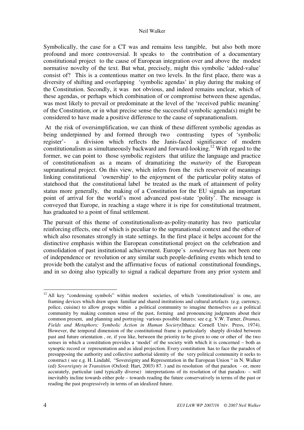Symbolically, the case for a CT was and remains less tangible, but also both more profound and more controversial. It speaks to the contribution of a documentary constitutional project to the cause of European integration over and above the modest normative novelty of the text. But what, precisely, might this symbolic 'added-value' consist of? This is a contentious matter on two levels. In the first place, there was a diversity of shifting and overlapping 'symbolic agendas' in play during the making of the Constitution. Secondly, it was not obvious, and indeed remains unclear, which of these agendas, or perhaps which combination of or compromise between these agendas, was most likely to prevail or predominate at the level of the 'received public meaning' of the Constitution, or in what precise sense the successful symbolic agenda(s) might be considered to have made a positive difference to the cause of supranationalism.

 At the risk of oversimplification, we can think of these different symbolic agendas as being underpinned by and formed through two contrasting types of 'symbolic register'- a division which reflects the Janis-faced significance of modern constitutionalism as simultaneously backward and forward-looking.<sup>12</sup> With regard to the former, we can point to those symbolic registers that utilize the language and practice of constitutionalism as a means of dramatizing the *maturity* of the European supranational project. On this view, which infers from the rich reservoir of meanings linking constitutional 'ownership' to the enjoyment of the particular polity status of statehood that the constitutional label be treated as the mark of attainment of polity status more generally, the making of a Constitution for the EU signals an important point of arrival for the world's most advanced post-state 'polity'. The message is conveyed that Europe, in reaching a stage where it is ripe for constitutional treatment, has graduated to a point of final settlement.

The pursuit of this theme of constitutionalism-as-polity-maturity has two particular reinforcing effects, one of which is peculiar to the supranational context and the other of which also resonates strongly in state settings. In the first place it helps account for the distinctive emphasis within the European constitutional project on the celebration and consolidation of past institutional achievement. Europe's *sonderweg* has not been one of independence or revolution or any similar such people-defining events which tend to provide both the catalyst and the affirmative focus of national constitutional foundings, and in so doing also typically to signal a radical departure from any prior system and

 $\overline{a}$  $12$  All key "condensing symbols" within modern societies, of which 'constitutionalism' is one, are framing devices which draw upon familiar and shared institutions and cultural artefacts (e.g. currency, police, cuisine) to allow groups within a political community to imagine themselves *as* a political community by making common sense of the past, forming and pronouncing judgments about their common present, and planning and portraying various possible futures; see e.g. V.W. Turner, *Dramas, Fields and Metaphors: Symbolic Action in Human Society*(Ithaca: Cornell Univ. Press, 1974). However, the temporal dimension of the constitutional frame is particularly sharply divided between past and future orientation , or, if you like, between the priority to be given to one or other of the two senses in which a constitution provides a 'model' of the society with which it is concerned – both as synoptic record or representation and as ideal projection. Every constitution has to face the paradox of presupposing the authority and collective authorial identity of the very political community it seeks to construct ( see e.g. H. Lindahl, "Sovereignty and Representation in the European Union " in N. Walker (ed) *Sovereignty in Transition* (Oxford: Hart, 2003) 87. ) and its resolution of that paradox - or, more accurately, particular (and typically diverse) interpretations of its resolution of that paradox- – will inevitably incline towards either pole – towards reading the future conservatively in terms of the past or reading the past progressively in terms of an idealized future.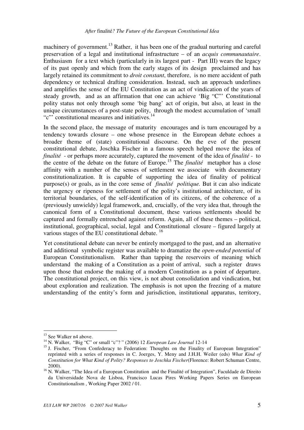machinery of government.<sup>13</sup> Rather, it has been one of the gradual nurturing and careful preservation of a legal and institutional infrastructure – of an *acquis communautaire*. Enthusiasm for a text which (particularly in its largest part - Part III) wears the legacy of its past openly and which from the early stages of its design proclaimed and has largely retained its commitment to *droit constant*, therefore, is no mere accident of path dependency or technical drafting consideration. Instead, such an approach underlines and amplifies the sense of the EU Constitution as an act of vindication of the years of steady growth, and as an affirmation that one can achieve 'Big "C"' Constitutional polity status not only through some 'big bang' act of origin, but also, at least in the unique circumstances of a post-state polity, through the modest accumulation of 'small "c" constitutional measures and initiatives.<sup>14</sup>

In the second place, the message of maturity encourages and is turn encouraged by a tendency towards closure – one whose presence in the European debate echoes a broader theme of (state) constitutional discourse. On the eve of the present constitutional debate, Joschka Fischer in a famous speech helped move the idea of *finalité* - or perhaps more accurately, captured the movement of the idea of *finalité* - to the centre of the debate on the future of Europe.<sup>15</sup> The *finalité* metaphor has a close affinity with a number of the senses of settlement we associate with documentary constitutionalization. It is capable of supporting the idea of finality of political purpose(s) or goals, as in the core sense of *finalité politique.* But it can also indicate the urgency or ripeness for settlement of the polity's institutional architecture, of its territorial boundaries, of the self-identification of its citizens, of the coherence of a (previously unwieldy) legal framework, and, crucially, of the very idea that, through the canonical form of a Constitutional document, these various settlements should be captured and formally entrenched against reform. Again, all of these themes – political, institutional, geographical, social, legal and Constitutional closure – figured largely at various stages of the EU constitutional debate.<sup>16</sup>

Yet constitutional debate can never be entirely mortgaged to the past, and an alternative and additional symbolic register was available to dramatize the *open-ended potential* of European Constitutionalism. Rather than tapping the reservoirs of meaning which understand the making of a Constitution as a point of arrival, such a register draws upon those that endorse the making of a modern Constitution as a point of departure. The constitutional project, on this view, is not about consolidation and vindication, but about exploration and realization. The emphasis is not upon the freezing of a mature understanding of the entity's form and jurisdiction, institutional apparatus, territory,

<sup>&</sup>lt;sup>13</sup> See Walker n4 above.

<sup>14</sup> N. Walker, "Big "C" or small "c"? " (2006) 12 *European Law Journal* 12-14

<sup>&</sup>lt;sup>15</sup> J. Fischer, "From Confederacy to Federation: Thoughts on the Finality of European Integration" reprinted with a series of responses in C. Joerges, Y. Meny and J.H.H. Weiler (eds) *What Kind of Constitution for What Kind of Polity? Responses to Joschka Fischer*(Florence: Robert Schuman Centre, 2000).

<sup>&</sup>lt;sup>16</sup> N. Walker, "The Idea of a European Constitution and the Finalité of Integration", Faculdade de Direito da Universidade Nova de Lisboa, Francisco Lucas Pires Working Papers Series on European Constitutionalism , Working Paper 2002 / 01.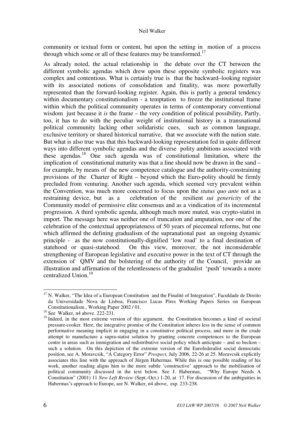community or textual form or content, but upon the setting in motion of a process through which some or all of these features may be transformed.<sup>17</sup>

As already noted, the actual relationship in the debate over the CT between the different symbolic agendas which drew upon these opposite symbolic registers was complex and contentious. What is certainly true is that the backward–looking register with its associated notions of consolidation and finality, was more powerfully represented than the forward-looking register. Again, this is partly a general tendency within documentary constitutionalism - a temptation to freeze the institutional frame within which the political community operates in terms of contemporary conventional wisdom just because it *is* the frame – the very condition of political possibility, Partly, too, it has to do with the peculiar weight of institutional history in a transnational political community lacking other solidaristic cues, such as common language, exclusive territory or shared historical narrative, that we associate with the nation state. But what is also true was that this backward-looking representation fed in quite different ways into different symbolic agendas and the diverse polity ambitions associated with these agendas.<sup>18</sup> One such agenda was of constitutional limitation, where the implication of constitutional maturity was that a line should now be drawn in the sand – for example, by means of the new competence catalogue and the authority-constraining provisions of the Charter of Right – beyond which the Euro-polity should be firmly precluded from venturing. Another such agenda, which seemed very prevalent within the Convention, was much more concerned to focus upon the *status quo ante* not as a restraining device, but as a celebration of the resilient *sui genericity* of the Community model of permissive elite consensus and as a vindication of its incremental progression. A third symbolic agenda, although much more muted, was crypto-statist in import. The message here was neither one of truncation and amputation, nor one of the celebration of the contextual appropriateness of 50 years of piecemeal reforms, but one which affirmed the defining gradualism of the supranational past an ongoing dynamic principle - as the now constitutionally-dignified 'low road' to a final destination of statehood or quasi-statehood. On this view, moreover, the not inconsiderable strengthening of European legislative and executive power in the text of CT through the extension of QMV and the bolstering of the authority of the Council, provide an illustration and affirmation of the relentlessness of the gradualist 'push' towards a more centralized Union.<sup>19</sup>

<sup>&</sup>lt;sup>17</sup> N. Walker, "The Idea of a European Constitution and the Finalité of Integration", Faculdade de Direito da Universidade Nova de Lisboa, Francisco Lucas Pires Working Papers Series on European Constitutionalism , Working Paper 2002 / 01.

<sup>&</sup>lt;sup>18</sup> See Walker, n4 above. 222-231.

<sup>&</sup>lt;sup>19</sup> Indeed, in the most extreme version of this argument, the Constitution becomes a kind of societal pressure-cooker. Here, the integrative promise of the Constitution inheres less in the sense of common performative meaning implicit in engaging in a constitutive political process, and more in the crude attempt to manufacture a supra-statist solution by granting concrete competences to the European centre in areas such as immigration and redistributive social policy which anticipate – and so beckon – such a solution. On this depiction of the extreme version of the Eurofederalist social democratic position, see A. Moravcsik, "A Category Error" *Prospect,* July 2006, 22-26 at 25. Moravcsik explicitly associates this line with the approach of Jürgen Habermas. While this is one possible reading of his work, another reading aligns him to the more subtle 'constructive' approach to the mobilisation of political community discussed in the text below. See J. Habermas, "Why Europe Needs A Constitution" (2001) 11 *New Left Review* (Sept.-Oct.) 1-20, at 17. For discussion of the ambiguities in Habermas's approach to Europe, see N. Walker, n4 above, esp. 233-238.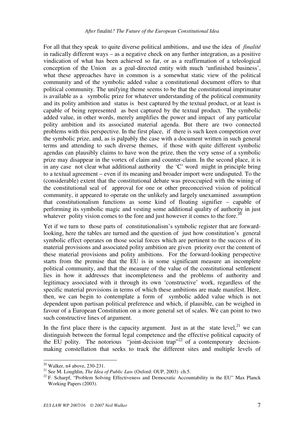For all that they speak to quite diverse political ambitions, and use the idea of *finalité*  in radically different ways – as a negative check on any further integration, as a positive vindication of what has been achieved so far, or as a reaffirmation of a teleological conception of the Union as a goal-directed entity with much 'unfinished business', what these approaches have in common is a somewhat static view of the political community and of the symbolic added value a constitutional document offers to that political community. The unifying theme seems to be that the constitutional imprimatur is available as a symbolic prize for whatever understanding of the political community and its polity ambition and status is best captured by the textual product, or at least is capable of being represented as best captured by the textual product. The symbolic added value, in other words, merely amplifies the power and impact of any particular polity ambition and its associated material agenda. But there are two connected problems with this perspective. In the first place, if there is such keen competition over the symbolic prize, and, as is palpably the case with a document written in such general terms and attending to such diverse themes, if those with quite different symbolic agendas can plausibly claims to have won the prize, then the very sense of a symbolic prize may disappear in the vortex of claim and counter-claim. In the second place, it is in any case not clear what additional authority the 'C' word might in principle bring to a textual agreement – even if its meaning and broader import were undisputed. To the (considerable) extent that the constitutional debate was preoccupied with the wining of the constitutional seal of approval for one or other preconceived vision of political community, it appeared to operate on the unlikely and largely unexamined assumption that constitutionalism functions as some kind of floating signifier – capable of performing its symbolic magic and vesting some additional quality of authority in just whatever polity vision comes to the fore and just however it comes to the fore.<sup>20</sup>

Yet if we turn to those parts of constitutionalism's symbolic register that are forwardlooking, here the tables are turned and the question of just how constitution's general symbolic effect operates on those social forces which are pertinent to the success of its material provisions and associated polity ambition are given priority over the content of these material provisions and polity ambitions. For the forward-looking perspective starts from the premise that the EU is in some significant measure an incomplete political community, and that the measure of the value of the constitutional settlement lies in how it addresses that incompleteness and the problems of authority and legitimacy associated with it through its own 'constructive' work, regardless of the specific material provisions in terms of which these ambitions are made manifest. Here, then, we can begin to contemplate a form of symbolic added value which is not dependent upon partisan political preference and which, if plausible, can be weighed in favour of a European Constitution on a more general set of scales. We can point to two such constructive lines of argument.

In the first place there is the capacity argument. Just as at the state level,  $2^1$  we can distinguish between the formal legal competence and the effective political capacity of the EU polity. The notorious "joint-decision trap"<sup>22</sup> of a contemporary decisionmaking constellation that seeks to track the different sites and multiple levels of

 $^{20}$  Walker, n4 above, 230-231.

<sup>21</sup> See M. Loughlin, *The Idea of Public Law* (Oxford: OUP, 2003) ch.5.

 $22$  F. Scharpf, "Problem Solving Effectiveness and Democratic Accountability in the EU" Max Planck Working Papers (2003).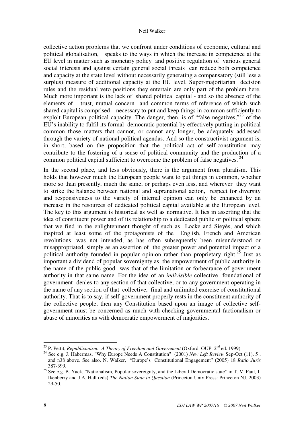collective action problems that we confront under conditions of economic, cultural and political globalisation, speaks to the ways in which the increase in competence at the EU level in matter such as monetary policy and positive regulation of various general social interests and against certain general social threats can reduce both competence and capacity at the state level without necessarily generating a compensatory (still less a surplus) measure of additional capacity at the EU level. Super-majoritarian decision rules and the residual veto positions they entertain are only part of the problem here. Much more important is the lack of shared political capital - and so the absence of the elements of trust, mutual concern and common terms of reference of which such shared capital is comprised – necessary to put and keep things in common sufficiently to exploit European political capacity. The danger, then, is of "false negatives,"<sup>23</sup> of the EU's inability to fulfil its formal democratic potential by effectively putting in political common those matters that cannot, or cannot any longer, be adequately addressed through the variety of national political agendas. And so the constructivist argument is, in short, based on the proposition that the political act of self-constitution may contribute to the fostering of a sense of political community and the production of a common political capital sufficient to overcome the problem of false negatives.  $^{24}$ 

In the second place, and less obviously, there is the argument from pluralism. This holds that however much the European people want to put things in common, whether more so than presently, much the same, or perhaps even less, and wherever they want to strike the balance between national and supranational action, respect for diversity and responsiveness to the variety of internal opinion can only be enhanced by an increase in the resources of dedicated political capital available at the European level. The key to this argument is historical as well as normative. It lies in asserting that the idea of constituent power and of its relationship to a dedicated public or political sphere that we find in the enlightenment thought of such as Locke and Sieyès, and which inspired at least some of the protagonists of the English, French and American revolutions, was not intended, as has often subsequently been misunderstood or misappropriated, simply as an assertion of the greater power and potential impact of a political authority founded in popular opinion rather than proprietary right.<sup>25</sup> Just as important a dividend of popular sovereignty as the empowerment of public authority in the name of the public good was that of the limitation or forbearance of government authority in that same name. For the idea of an *indivisible* collective foundational of government denies to any section of that collective, or to any government operating in the name of any section of that collective, final and unlimited exercise of constitutional authority. That is to say, if self-government properly rests in the constituent authority of the collective people, then any Constitution based upon an image of collective selfgovernment must be concerned as much with checking governmental factionalism or abuse of minorities as with democratic empowerment of majorities.

 $\overline{a}$ <sup>23</sup> P. Pettit, *Republicanism: A Theory of Freedom and Government* (Oxford: OUP, 2<sup>nd</sup> ed. 1999)

<sup>24</sup> See e.g. J. Habermas, "Why Europe Needs A Constitution" (2001) *New Left Review* Sep-Oct (11), 5 , and n38 above. See also, N. Walker, "Europe's Constitutional Engagement" (2005) 18 *Ratio Juris*  387-399.

<sup>&</sup>lt;sup>25</sup> See e.g. B. Yack, "Nationalism, Popular sovereignty, and the Liberal Democratic state" in T. V. Paul, J. Ikenberry and J.A. Hall (eds) *The Nation State in Question* (Princeton Univ Press: Princeton NJ, 2003) 29-50.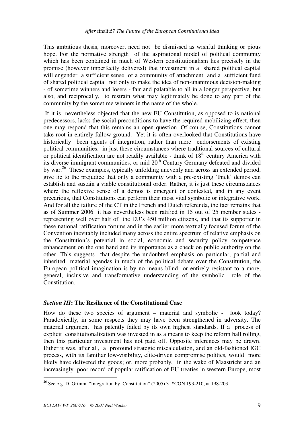This ambitious thesis, moreover, need not be dismissed as wishful thinking or pious hope. For the normative strength of the aspirational model of political community which has been contained in much of Western constitutionalism lies precisely in the promise (however imperfectly delivered) that investment in a shared political capital will engender a sufficient sense of a community of attachment and a sufficient fund of shared political capital not only to make the idea of non-unanimous decision-making - of sometime winners and losers - fair and palatable to all in a longer perspective, but also, and reciprocally, to restrain what may legitimately be done to any part of the community by the sometime winners in the name of the whole.

 If it is nevertheless objected that the new EU Constitution, as opposed to is national predecessors, lacks the social preconditions to have the required mobilizing effect, then one may respond that this remains an open question. Of course, Constitutions cannot take root in entirely fallow ground. Yet it is often overlooked that Constitutions have historically been agents of integration, rather than mere endorsements of existing political communities, in just these circumstances where traditional sources of cultural or political identification are not readily available - think of  $18<sup>th</sup>$  century America with its diverse immigrant communities, or mid 20<sup>th</sup> Century Germany defeated and divided by war.<sup>26</sup> These examples, typically unfolding unevenly and across an extended period, give lie to the prejudice that only a community with a pre-existing 'thick' demos can establish and sustain a viable constitutional order. Rather, it is just these circumstances where the reflexive sense of a demos is emergent or contested, and in any event precarious, that Constitutions can perform their most vital symbolic or integrative work. And for all the failure of the CT in the French and Dutch referenda, the fact remains that as of Summer 2006 it has nevertheless been ratified in 15 out of 25 member states representing well over half of the EU's 450 million citizens, and that its supporter in these national ratification forums and in the earlier more textually focused forum of the Convention inevitably included many across the entire spectrum of relative emphasis on the Constitution's potential in social, economic and security policy competence enhancement on the one hand and its importance as a check on public authority on the other. This suggests that despite the undoubted emphasis on particular, partial and inherited material agendas in much of the political debate over the Constitution, the European political imagination is by no means blind or entirely resistant to a more, general, inclusive and transformative understanding of the symbolic role of the Constitution.

#### *Section III***: The Resilience of the Constitutional Case**

How do these two species of argument – material and symbolic - look today? Paradoxically, in some respects they may have been strengthened in adversity. The material argument has patently failed by its own highest standards. If a process of explicit constitutionalization was invested in as a means to keep the reform ball rolling, then this particular investment has not paid off. Opposite inferences may be drawn. Either it was, after all, a profound strategic miscalculation, and an old-fashioned IGC process, with its familiar low-visibility, elite-driven compromise politics, would more likely have delivered the goods; or, more probably, in the wake of Maastricht and an increasingly poor record of popular ratification of EU treaties in western Europe, most

 $\overline{a}$ <sup>26</sup> See e.g. D. Grimm, "Integration by Constitution" (2005) 3 I\*CON 193-210, at 198-203.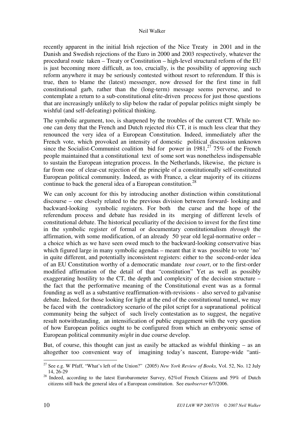recently apparent in the initial Irish rejection of the Nice Treaty in 2001 and in the Danish and Swedish rejections of the Euro in 2000 and 2003 respectively, whatever the procedural route taken – Treaty or Constitution – high-level structural reform of the EU is just becoming more difficult, as too, crucially, is the possibility of approving such reform anywhere it may be seriously contested without resort to referendum. If this is true, then to blame the (latest) messenger, now dressed for the first time in full constitutional garb, rather than the (long-term) message seems perverse, and to contemplate a return to a sub-constitutional elite-driven process for just those questions that are increasingly unlikely to slip below the radar of popular politics might simply be wishful (and self-defeating) political thinking.

The symbolic argument, too, is sharpened by the troubles of the current CT. While noone can deny that the French and Dutch rejected *this* CT, it is much less clear that they renounced the very idea of a European Constitution. Indeed, immediately after the French vote, which provoked an intensity of domestic political discussion unknown since the Socialist-Communist coalition bid for power in  $1981$ ,<sup>27</sup> 75% of the French people maintained that a constitutional text of some sort was nonetheless indispensable to sustain the European integration process. In the Netherlands, likewise, the picture is far from one of clear-cut rejection of the principle of a constitutionally self-constituted European political community. Indeed, as with France, a clear majority of its citizens continue to back the general idea of a European constitution.<sup>28</sup>

We can only account for this by introducing another distinction within constitutional discourse – one closely related to the previous division between forward- looking and backward-looking symbolic registers. For both the curse and the hope of the referendum process and debate has resided in its merging of different levels of constitutional debate. The historical peculiarity of the decision to invest for the first time in the symbolic register of formal or documentary constitutionalism *through* the affirmation, with some modification, of an already 50 year old legal-normative order – a choice which as we have seen owed much to the backward-looking conservative bias which figured large in many symbolic agendas – meant that it was possible to vote 'no' in quite different, and potentially inconsistent registers: either to the second-order idea of an EU Constitution worthy of a democratic mandate *tout court*, or to the first-order modified affirmation of the detail of that "constitution" Yet as well as possibly exaggerating hostility to the CT, the depth and complexity of the decision structure – the fact that the performative meaning of the Constitutional event was as a formal founding as well as a substantive reaffirmation-with-revisions - also served to galvanise debate. Indeed, for those looking for light at the end of the constitutional tunnel, we may be faced with the contradictory scenario of the pilot script for a supranational political community being the subject of such lively contestation as to suggest, the negative result notwithstanding, an intensification of public engagement with the very question of how European politics ought to be configured from which an embryonic sense of European political community *might* in due course develop.

But, of course, this thought can just as easily be attacked as wishful thinking – as an altogether too convenient way of imagining today's nascent, Europe-wide "anti-

 $\overline{a}$ <sup>27</sup> See e.g. W Pfaff, "What's left of the Union?" (2005) *New York Review of Books,* Vol. 52, No. 12 July 14, 26-29

<sup>&</sup>lt;sup>28</sup> Indeed, according to the latest Eurobarometer Survey, 62%of French Citizens and 59% of Dutch citizens still back the general idea of a European constitution. See eu*observer* 6/7/2006.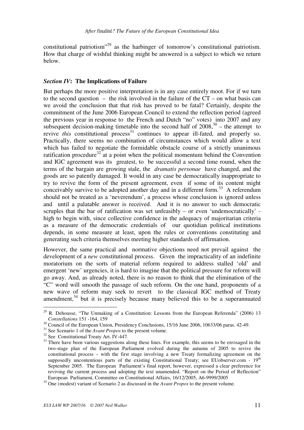constitutional patriotism"<sup>29</sup> as the harbinger of tomorrow's constitutional patriotism. How that charge of wishful thinking might be answered is a subject to which we return below.

#### *Section IV***: The Implications of Failure**

But perhaps the more positive interpretation is in any case entirely moot. For if we turn to the second question – the risk involved in the failure of the CT – on what basis can we avoid the conclusion that that risk has proved to be fatal? Certainly, despite the commitment of the June 2006 European Council to extend the reflection period (agreed the previous year in response to the French and Dutch "no" votes) into 2007 and any subsequent decision-making timetable into the second half of  $2008$ ,  $30 -$  the attempt to revive *this* constitutional process<sup>31</sup> continues to appear ill-fated, and properly so. Practically, there seems no combination of circumstances which would allow a text which has failed to negotiate the formidable obstacle course of a strictly unanimous ratification procedure<sup>32</sup> at a point when the political momentum behind the Convention and IGC agreement was its greatest, to be successful a second time round, when the terms of the bargain are growing stale, the *dramatis personae* have changed, and the goods are so patently damaged. It would in any case be democratically inappropriate to try to revive the form of the present agreement, even if some of its content might conceivably survive to be adopted another day and in a different form.<sup>33</sup> A referendum should not be treated as a 'neverendum', a process whose conclusion is ignored unless and until a palatable answer is received. And it is no answer to such democratic scruples that the bar of ratification was set unfeasibly – or even 'undemocratically' high to begin with, since collective confidence in the adequacy of majoritarian criteria as a measure of the democratic credentials of our quotidian political institutions depends, in some measure at least, upon the rules or conventions constituting and generating such criteria themselves meeting higher standards of affirmation.

However, the same practical and normative objections need not prevail against the development of a *new* constitutional process. Given the impracticality of an indefinite moratorium on the sorts of material reform required to address stalled 'old' and emergent 'new' urgencies, it is hard to imagine that the political pressure for reform will go away. And, as already noted, there is no reason to think that the elimination of the "C" word will smooth the passage of such reform. On the one hand, proponents of a new wave of reform may seek to revert to the classical IGC method of Treaty amendment, $34$  but it is precisely because many believed this to be a superannuated

 $29$  R. Dehousse, "The Unmaking of a Constitution: Lessons from the European Referenda" (2006) 13 *Constellations* 151 -164, 159

<sup>&</sup>lt;sup>30</sup> Council of the European Union, Presidency Conclusions, 15/16 June 2006, 10633/06 paras. 42-49.

<sup>31</sup> See Scenario 1 of the *Avant Propos* to the present volume.

 $32$  See Constitutional Treaty Art. IV-447.

<sup>&</sup>lt;sup>33</sup> There have been various suggestions along these lines. For example, this seems to be envisaged in the two-stage plan of the European Parliament evolved during the autumn of 2005 to revive the constitutional process – with the first stage involving a new Treaty formalizing agreement on the supposedly uncontentious parts of the existing Constitutional Treaty; see EUobserver.com - 19<sup>th</sup> September 2005. The European Parliament's final report, however, expressed a clear preference for reviving the current process and adopting the text unamended. "Report on the Period of Reflection" European Parliament, Committee on Constitutional Affairs, 16/12/2005, A6-9999/2005

<sup>34</sup> One (modest) variant of Scenario 2 as discussed in the *Avant Propos* to the present volume.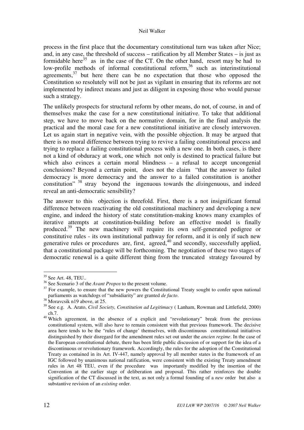process in the first place that the documentary constitutional turn was taken after Nice; and, in any case, the threshold of success – ratification by all Member States – is just as formidable here<sup>35</sup> as in the case of the CT. On the other hand, resort may be had to low-profile methods of informal constitutional reform,<sup>36</sup> such as interinstitutional agreements,  $37$  but here there can be no expectation that those who opposed the Constitution so resolutely will not be just as vigilant in ensuring that its reforms are not implemented by indirect means and just as diligent in exposing those who would pursue such a strategy.

The unlikely prospects for structural reform by other means, do not, of course, in and of themselves make the case for a new constitutional initiative. To take that additional step, we have to move back on the normative domain, for in the final analysis the practical and the moral case for a new constitutional initiative are closely interwoven. Let us again start in negative vein, with the possible objection. It may be argued that there is no moral difference between trying to revive a failing constitutional process and trying to replace a failing constitutional process with a new one. In both cases, is there not a kind of obduracy at work, one which not only is destined to practical failure but which also evinces a certain moral blindness – a refusal to accept uncongenial conclusions? Beyond a certain point, does not the claim "that the answer to failed democracy is more democracy and the answer to a failed constitution is another constitution" <sup>38</sup> stray beyond the ingenuous towards the *dis*ingenuous, and indeed reveal an anti-democratic sensibility?

The answer to this objection is threefold. First, there is a not insignificant formal difference between reactivating the old constitutional machinery and developing a new engine, and indeed the history of state constitution-making knows many examples of iterative attempts at constitution-building before an effective model is finally produced.<sup>39</sup> The new machinery will require its own self-generated pedigree or constitutive rules - its own institutional pathway for reform, and it is only if such new generative rules or procedures are, first, agreed, $40$  and secondly, successfully applied, that a constitutional package will be forthcoming. The negotiation of these two stages of democratic renewal is a quite different thing from the truncated strategy favoured by

 $35$  See Art. 48, TEU..

<sup>36</sup> See Scenario 3 of the *Avant Propos* to the present volume.

 $37$  For example, to ensure that the new powers the Constitutional Treaty sought to confer upon national parliaments as watchdogs of "subsidiarity" are granted *de facto*.

 $38$  Moravcsik n19 above, at 25.

<sup>39</sup> See e.g. A. Arato, *Civil Society, Constitution ad Legitimacy* ( Lanham, Rowman and Littlefield, 2000) ch.7.

<sup>&</sup>lt;sup>40</sup> Which agreement, in the absence of a explicit and "revolutionary" break from the previous constitutional system, will also have to remain consistent with that previous framework. The decisive area here tends to be the "rules of change' themselves, with discontinuous constitutional initiatives distinguished by their disregard for the amendment rules set out under the *ancien regime*. In the case of the European constitutional debate, there has been little public discussion of or support for the idea of a discontinuous or revolutionary framework. Accordingly, the rules for the adoption of the Constitutional Treaty as contained in its Art. IV-447, namely approval by all member states in the framework of an IGC followed by unanimous national ratification, were consistent with the existing Treaty amendment rules in Art 48 TEU, even if the procedure was importantly modified by the insertion of the Convention at the earlier stage of deliberation and proposal. This rather reinforces the double signification of the CT discussed in the text, as not only a formal founding of a *new* order but also a substantive revision of an *existing* order.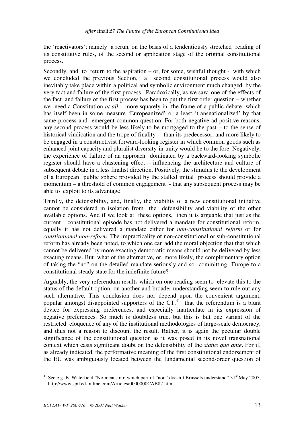the 'reactivators'; namely a rerun, on the basis of a tendentiously stretched reading of its constitutive rules, of the second or application stage of the original constitutional process.

Secondly, and to return to the aspiration – or, for some, wishful thought - with which we concluded the previous Section, a second constitutional process would also inevitably take place within a political and symbolic environment much changed by the very fact and failure of the first process. Paradoxically, as we saw, one of the effects of the fact and failure of the first process has been to put the first order question – whether we need a Constitution *at all* – more squarely in the frame of a public debate which has itself been in some measure 'Europeanized' or a least 'transnationalized' by that same process and emergent common question. For both negative ad positive reasons, any second process would be less likely to be mortgaged to the past – to the sense of historical vindication and the trope of finality – than its predecessor, and more likely to be engaged in a constructivist forward-looking register in which common goods such as enhanced joint capacity and pluralist diversity-in-unity would be to the fore. Negatively, the experience of failure of an approach dominated by a backward-looking symbolic register should have a chastening effect – influencing the architecture and culture of subsequent debate in a less finalist direction. Positively, the stimulus to the development of a European public sphere provided by the stalled initial process should provide a momentum – a threshold of common engagement - that any subsequent process may be able to exploit to its advantage

Thirdly, the defensibility, and, finally, the viability of a new constitutional initiative cannot be considered in isolation from the defensibility and viability of the other available options. And if we look at these options, then it is arguable that just as the current constitutional episode has not delivered a mandate for constitutional reform, equally it has not delivered a mandate either for *non-constitutional reform* or for *constitutional non-reform*. The impracticality of non-constitutional or sub-constitutional reform has already been noted, to which one can add the moral objection that that which cannot be delivered by more exacting democratic means should not be delivered by less exacting means. But what of the alternative, or, more likely, the complementary option of taking the "no" on the detailed mandate seriously and so committing Europe to a constitutional steady state for the indefinite future?

Arguably, the very referendum results which on one reading seem to elevate this to the status of the default option, on another and broader understanding seem to rule out any such alternative. This conclusion does nor depend upon the convenient argument, popular amongst disappointed supporters of the  $CT<sub>1</sub><sup>41</sup>$  that the referendum is a blunt device for expressing preferences, and especially inarticulate in its expression of negative preferences. So much is doubtless true, but this is but one variant of the restricted eloquence of any of the institutional methodologies of large-scale democracy, and thus not a reason to discount the result. Rather, it is again the peculiar double significance of the constitutional question as it was posed in its novel transnational context which casts significant doubt on the defensibility of the *status quo ante*. For if, as already indicated, the performative meaning of the first constitutional endorsement of the EU was ambiguously located between the fundamental second-order question of

<sup>&</sup>lt;sup>41</sup> See e.g. B. Waterfield "No means no: which part of "non" doesn't Brussels understand"  $31<sup>st</sup>$  May 2005, http://www.spiked-online.com/Articles/0000000CAB82.htm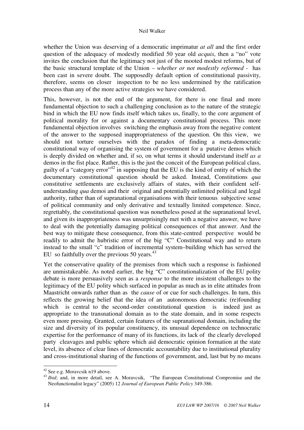whether the Union was deserving of a democratic imprimatur *at all* and the first order question of the adequacy of modestly modified 50 year old *acquis*, then a "no" vote invites the conclusion that the legitimacy not just of the mooted modest reforms, but of the basic structural template of the Union – *whether or not modestly reformed* - has been cast in severe doubt. The supposedly default option of constitutional passivity, therefore, seems on closer inspection to be no less undermined by the ratification process than any of the more active strategies we have considered.

This, however, is not the end of the argument, for there is one final and more fundamental objection to such a challenging conclusion as to the nature of the strategic bind in which the EU now finds itself which takes us, finally, to the core argument of political morality for or against a documentary constitutional process. This more fundamental objection involves switching the emphasis away from the negative content of the answer to the supposed inappropriateness of the question. On this view, we should not torture ourselves with the paradox of finding a meta-democratic constitutional way of organising the system of government for a putative demos which is deeply divided on whether and, if so, on what terms it should understand itself *as a*  demos in the fist place. Rather, this is the just the conceit of the European political class, guilty of a "category error"<sup>42</sup> in supposing that the EU is the kind of entity of which the documentary constitutional question should be asked. Instead, Constitutions *qua*  constitutive settlements are exclusively affairs of states, with their confident selfunderstanding *qua* demoi and their original and potentially unlimited political and legal authority, rather than of supranational organisations with their tenuous subjective sense of political community and only derivative and textually limited competence. Since, regrettably, the constitutional question was nonetheless posed at the supranational level, and given its inappropriateness was unsurprisingly met with a negative answer, we have to deal with the potentially damaging political consequences of that answer. And the best way to mitigate these consequence, from this state-centred perspective would be readily to admit the hubristic error of the big "C" Constitutional way and to return instead to the small "c" tradition of incremental system–building which has served the EU so faithfully over the previous  $50$  years.<sup>43</sup>

Yet the conservative quality of the premises from which such a response is fashioned are unmistakeable. As noted earlier, the big "C" constitutionalization of the EU polity debate is more persuasively seen as a *response* to the more insistent challenges to the legitimacy of the EU polity which surfaced in popular as much as in elite attitudes from Maastricht onwards rather than as the *cause* of or cue for such challenges. In turn, this reflects the growing belief that the idea of an autonomous democratic (re)founding which is central to the second-order constitutional question is indeed just as appropriate to the transnational domain as to the state domain, and in some respects even more pressing. Granted, certain features of the supranational domain, including the size and diversity of its popular constituency, its unusual dependence on technocratic expertise for the performance of many of its functions, its lack of the clearly developed party cleavages and public sphere which aid democratic opinion formation at the state level, its absence of clear lines of democratic accountability due to institutional plurality and cross-institutional sharing of the functions of government, and, last but by no means

<sup>&</sup>lt;sup>42</sup> See e.g. Moravcsik n19 above.

<sup>&</sup>lt;sup>43</sup> Ibid; and, in more detail, see A. Moravcsik, "The European Constitutional Compromise and the Neofunctionalist legacy" (2005) 12 *Journal of European Public Policy* 349-386.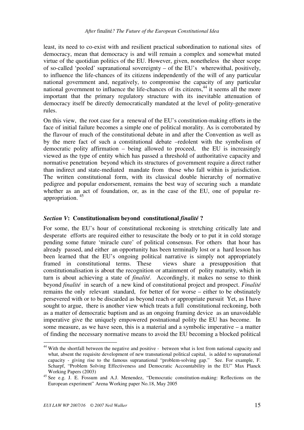least, its need to co-exist with and resilient practical subordination to national sites of democracy, mean that democracy is and will remain a complex and somewhat muted virtue of the quotidian politics of the EU. However, given, nonetheless the sheer scope of so-called 'pooled' supranational sovereignty – of the EU's wherewithal, positively, to influence the life-chances of its citizens independently of the will of any particular national government and, negatively, to compromise the capacity of any particular national government to influence the life-chances of its citizens, $44$  it seems all the more important that the primary regulatory structure with its inevitable attenuation of democracy itself be directly democratically mandated at the level of polity-generative rules.

On this view, the root case for a renewal of the EU's constitution-making efforts in the face of initial failure becomes a simple one of political morality. As is corroborated by the flavour of much of the constitutional debate in and after the Convention as well as by the mere fact of such a constitutional debate –redolent with the symbolism of democratic polity affirmation – being allowed to proceed, the EU is increasingly viewed as the type of entity which has passed a threshold of authoritative capacity and normative penetration beyond which its structures of government require a direct rather than indirect and state-mediated mandate from those who fall within is jurisdiction. The written constitutional form, with its classical double hierarchy of normative pedigree and popular endorsement, remains the best way of securing such a mandate whether as an act of foundation, or, as in the case of the EU, one of popular reappropriation.<sup>45</sup>

## *Section V***: Constitutionalism beyond constitutional** *finalité* **?**

For some, the EU's hour of constitutional reckoning is stretching critically late and desperate efforts are required either to resuscitate the body or to put it in cold storage pending some future 'miracle cure' of political consensus. For others that hour has already passed, and either an opportunity has been terminally lost or a hard lesson has been learned that the EU's ongoing political narrative is simply not appropriately framed in constitutional terms. These views share a presupposition that constitutionalisation is about the recognition or attainment of polity maturity, which in turn is about achieving a state of *finalité*. Accordingly, it makes no sense to think beyond *finalité* in search of a new kind of constitutional project and prospect. *Finalité*  remains the only relevant standard, for better of for worse – either to be obstinately persevered with or to be discarded as beyond reach or appropriate pursuitYet, as I have sought to argue, there is another view which treats a full constitutional reckoning, both as a matter of democratic baptism and as an ongoing framing device as an unavoidable imperative give the uniquely empowered postnational polity the EU has become. In some measure, as we have seen, this is a material and a symbolic imperative – a matter of finding the necessary normative means to avoid the EU becoming a blocked political

<sup>&</sup>lt;sup>44</sup> With the shortfall between the negative and positive - between what is lost from national capacity and what, absent the requisite development of new transnational political capital, is added to supranational capacity - giving rise to the famous supranational "problem-solving gap." See. For example, F. Scharpf, "Problem Solving Effectiveness and Democratic Accountability in the EU" Max Planck Working Papers (2003)

<sup>&</sup>lt;sup>45</sup> See e.g. J. E. Fossum and A.J. Menendez, "Democratic constitution-making: Reflections on the European experiment" Arena Working paper No.18, May 2005